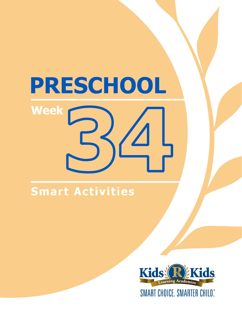# **Smart Activities**

**Week** 

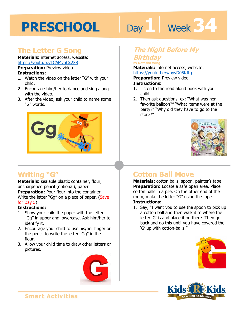# Day 1 **Week 34**

### **The Letter G Song**

**Materials:** internet access, website: https://youtu.be/LCAMvnCx2X8

**Preparation:** Preview video. **Instructions:** 

- 1. Watch the video on the letter "G" with your child.
- 2. Encourage him/her to dance and sing along with the video.
- 3. After the video, ask your child to name some "G" words.



### **Writing "G"**

**Materials:** sealable plastic container, flour, unsharpened pencil (optional), paper **Preparation:** Pour flour into the container. Write the letter "Gg" on a piece of paper. (Save for Day 5)

#### **Instructions:**

- 1. Show your child the paper with the letter "Gg" in upper and lowercase. Ask him/her to identify it.
- 2. Encourage your child to use his/her finger or the pencil to write the letter "Gg" in the flour.
- 3. Allow your child time to draw other letters or pictures.



#### **The Night Before My Birthday**

#### **by Natasha Wing**

by Natasna wing<br>**Materials:** internet access, website:<br>https://youtu.be/whyvD05KItg<br>**Preparation:** Preview video.

https://youtu.be/whyvD05KItg

**Preparation:** Preview video.

#### **Instructions:**

- 1. Listen to the read aloud book with your child.
- 2. Then ask questions, ex: "What was her favorite balloon?" "What items were at the party?" "Why did they have to go to the store?"



## **Cotton Ball Move**

**Materials:** cotton balls, spoon, painter's tape **Preparation:** Locate a safe open area. Place cotton balls in a pile. On the other end of the room, make the letter "G" using the tape. **Instructions:** 

1. Say, "I want you to use the spoon to pick up a cotton ball and then walk it to where the letter 'G' is and place it on there. Then go back and do this until you have covered the 'G' up with cotton-balls."



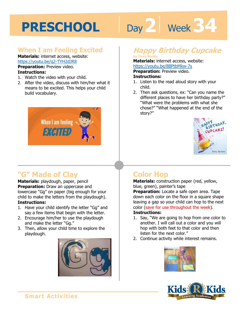# Day 2 **Week 34**

#### **When I am Feeling Excited**

**Materials:** internet access, website: https://youtu.be/q2-TYH2dJR8

**Preparation:** Preview video. **Instructions:** 

- 1. Watch the video with your child.
- 2. After the video, discuss with him/her what it means to be excited. This helps your child build vocabulary.



## **"G" Made of Clay**

**Materials:** playdough, paper, pencil **Preparation:** Draw an uppercase and lowercase "Gg" on paper (big enough for your child to make the letters from the playdough). **Instructions:** 

- 1. Have your child identify the letter "Gg" and say a few items that begin with the letter.
- 2. Encourage him/her to use the playdough and make the letter "Gg."
- 3. Then, allow your child time to explore the playdough.



# **Happy Birthday Cupcake**

#### **by Terry Border Materials:** internet access, website:

https://youtu.be/8BPtbMkw-7s<br>**Preparation:** Preview video.<br>**Instructions:**<br>1 Listen to the read aloud star with w **Preparation:** Preview video. **Instructions:** 

- 1. Listen to the read aloud story with your child.
- 2. Then ask questions, ex: "Can you name the different places to have her birthday party?" "What were the problems with what she chose?" "What happened at the end of the story?"



## **Color Hop**

**Materials:** construction paper (red, yellow, blue, green), painter's tape

**Preparation:** Locate a safe open area. Tape down each color on the floor in a square shape leaving a gap so your child can hop to the next color (save for use throughout the week).

#### **Instructions:**

- 1. Say, "We are going to hop from one color to another. I will call out a color and you will hop with both feet to that color and then listen for the next color."
- 2. Continue activity while interest remains.



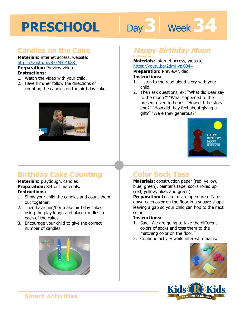# **Day 3 | Week 34**

## **Candles on the Cake**

**Materials:** internet access, website: https://youtu.be/87xM391kSKI **Preparation:** Preview video. **Instructions:** 

- 1. Watch the video with your child.
- 2. Have him/her follow the directions of counting the candles on the birthday cake.



# **Birthday Cake Counting**

**Materials:** playdough, candles **Preparation:** Set out materials. **Instructions:** 

- 1. Show your child the candles and count them out together.
- 2. Then have him/her make birthday cakes using the playdough and place candles in each of the cakes.
- 3. Encourage your child to give the correct number of candles.



# **Happy Birthday Moon**

**by Frank Asch Materials:** internet access, website: https://youtu.be/2tlmHypKQ44

**1 4 Preparation:** Preview video. **Instructions:** 

- 1. Listen to the read aloud story with your child.
- 2. Then ask questions, ex: "What did Bear say to the moon?" "What happened to the present given to bear?" "How did the story end?" "How did they feel about giving a gift?" "Were they generous?"



## **Color Sock Toss**

**Materials:** construction paper (red, yellow, blue, green), painter's tape, socks rolled up (red, yellow, blue, and green)

**Preparation:** Locate a safe open area. Tape down each color on the floor in a square shape leaving a gap so your child can hop to the next color.

#### **Instructions:**

- 1. Say, "We are going to take the different colors of socks and toss them to the matching color on the floor."
- 2. Continue activity while interest remains.



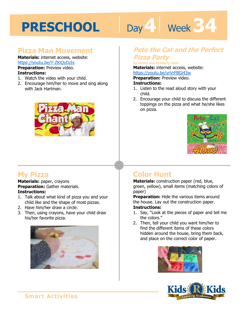# Day 4 **Week 34**

#### **Pizza Man Movement**

**Materials:** internet access, website: https://youtu.be/Y-ZKiQyDzIs **Preparation:** Preview video.

#### **Instructions:**

- 1. Watch the video with your child.
- 2. Encourage him/her to move and sing along with Jack Hartman.



#### **Pete the Cat and the Perfect Pizza Party**

#### **by James and Kimberly Dean**

by James and Kimberly Dean<br>**Materials:** internet access, website:<br>https://youtu.be/yrVrFBGi43w<br>**Preparation:** Preview video.

#### https://youtu.be/yrVrFBGi43w

**Preparation:** Preview video.

#### **Instructions:**

- 1. Listen to the read aloud story with your child.
- 2. Encourage your child to discuss the different toppings on the pizza and what he/she likes on pizza.



### **My Pizza**

**Materials:** paper, crayons **Preparation:** Gather materials. **Instructions:** 

- 1. Talk about what kind of pizza you and your child like and the shape of most pizzas.
- 2. Have him/her draw a circle.
- 3. Then, using crayons, have your child draw his/her favorite pizza.



## **Color Hunt**

**Materials:** construction paper (red, blue, green, yellow), small items (matching colors of paper)

**Preparation:** Hide the various items around the house. Lay out the construction paper. **Instructions:** 

- 1. Say, "Look at the pieces of paper and tell me the colors."
- 2. Then, tell your child you want him/her to find the different items of these colors hidden around the house, bring them back, and place on the correct color of paper.